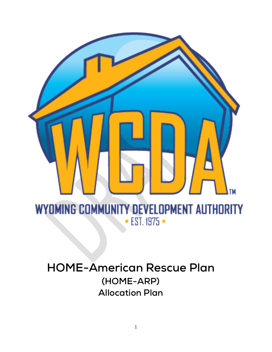

# **HOME-American Rescue Plan (HOME-ARP) Allocation Plan**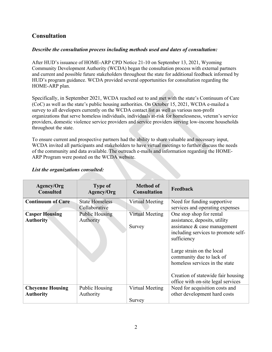# **Consultation**

#### *Describe the consultation process including methods used and dates of consultation:*

After HUD's issuance of HOME-ARP CPD Notice 21-10 on September 13, 2021, Wyoming Community Development Authority (WCDA) began the consultation process with external partners and current and possible future stakeholders throughout the state for additional feedback informed by HUD's program guidance. WCDA provided several opportunities for consultation regarding the HOME-ARP plan.

Specifically, in September 2021, WCDA reached out to and met with the state's Continuum of Care (CoC) as well as the state's public housing authorities. On October 15, 2021, WCDA e-mailed a survey to all developers currently on the WCDA contact list as well as various non-profit organizations that serve homeless individuals, individuals at-risk for homelessness, veteran's service providers, domestic violence service providers and service providers serving low-income households throughout the state.

To ensure current and prospective partners had the ability to share valuable and necessary input, WCDA invited all participants and stakeholders to have virtual meetings to further discuss the needs of the community and data available. The outreach e-mails and information regarding the HOME-ARP Program were posted on the WCDA website.

| Agency/Org<br><b>Consulted</b>              | <b>Type of</b><br>Agency/Org | <b>Method of</b><br><b>Consultation</b> | Feedback                                                                                                                                                            |  |
|---------------------------------------------|------------------------------|-----------------------------------------|---------------------------------------------------------------------------------------------------------------------------------------------------------------------|--|
| <b>Continuum of Care</b>                    | <b>State Homeless</b>        | Virtual Meeting                         | Need for funding supportive                                                                                                                                         |  |
|                                             | Collaborative                |                                         | services and operating expenses                                                                                                                                     |  |
| <b>Casper Housing</b>                       | <b>Public Housing</b>        | Virtual Meeting                         | One stop shop for rental                                                                                                                                            |  |
| <b>Authority</b>                            | Authority                    | Survey                                  | assistance, deposits, utility<br>assistance & case management<br>including services to promote self-<br>sufficiency                                                 |  |
|                                             |                              |                                         | Large strain on the local<br>community due to lack of<br>homeless services in the state<br>Creation of statewide fair housing<br>office with on-site legal services |  |
| <b>Cheyenne Housing</b><br><b>Authority</b> | Public Housing<br>Authority  | Virtual Meeting<br>Survey               | Need for acquisition costs and<br>other development hard costs                                                                                                      |  |

#### *List the organizations consulted:*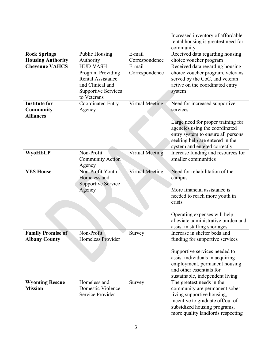|                                                  |                                                                                                                                   |                          | Increased inventory of affordable<br>rental housing is greatest need for                                                                                                                          |  |
|--------------------------------------------------|-----------------------------------------------------------------------------------------------------------------------------------|--------------------------|---------------------------------------------------------------------------------------------------------------------------------------------------------------------------------------------------|--|
|                                                  |                                                                                                                                   |                          | community                                                                                                                                                                                         |  |
| <b>Rock Springs</b>                              | <b>Public Housing</b>                                                                                                             | E-mail                   | Received data regarding housing                                                                                                                                                                   |  |
| <b>Housing Authority</b>                         | Authority                                                                                                                         | Correspondence           | choice voucher program                                                                                                                                                                            |  |
| <b>Cheyenne VAHCS</b>                            | <b>HUD-VASH</b><br>Program Providing<br><b>Rental Assistance</b><br>and Clinical and<br><b>Supportive Services</b><br>to Veterans | E-mail<br>Correspondence | Received data regarding housing<br>choice voucher program, veterans<br>served by the CoC, and veteran<br>active on the coordinated entry<br>system                                                |  |
| <b>Institute for</b>                             | <b>Coordinated Entry</b>                                                                                                          | <b>Virtual Meeting</b>   | Need for increased supportive                                                                                                                                                                     |  |
| Community                                        | Agency                                                                                                                            |                          | services                                                                                                                                                                                          |  |
| <b>Alliances</b>                                 |                                                                                                                                   |                          | Large need for proper training for<br>agencies using the coordinated<br>entry system to ensure all persons                                                                                        |  |
|                                                  |                                                                                                                                   |                          | seeking help are entered in the<br>system and entered correctly                                                                                                                                   |  |
| <b>WyoHELP</b>                                   | Non-Profit                                                                                                                        | <b>Virtual Meeting</b>   | Increase funding and resources for                                                                                                                                                                |  |
|                                                  | <b>Community Action</b><br>Agency                                                                                                 |                          | smaller communities                                                                                                                                                                               |  |
| <b>YES House</b>                                 | Non-Profit Youth<br>Homeless and<br><b>Supportive Service</b><br>Agency                                                           | <b>Virtual Meeting</b>   | Need for rehabilitation of the<br>campus<br>More financial assistance is<br>needed to reach more youth in<br>crisis                                                                               |  |
|                                                  |                                                                                                                                   |                          | Operating expenses will help<br>alleviate administrative burden and<br>assist in staffing shortages                                                                                               |  |
| <b>Family Promise of</b><br><b>Albany County</b> | Non-Profit<br>Homeless Provider                                                                                                   | Survey                   | Increase in shelter beds and<br>funding for supportive services                                                                                                                                   |  |
|                                                  |                                                                                                                                   |                          | Supportive services needed to<br>assist individuals in acquiring<br>employment, permanent housing<br>and other essentials for<br>sustainable, independent living                                  |  |
| <b>Wyoming Rescue</b><br><b>Mission</b>          | Homeless and<br>Domestic Violence<br>Service Provider                                                                             | Survey                   | The greatest needs in the<br>community are permanent sober<br>living supportive housing,<br>incentive to graduate off/out of<br>subsidized housing programs,<br>more quality landlords respecting |  |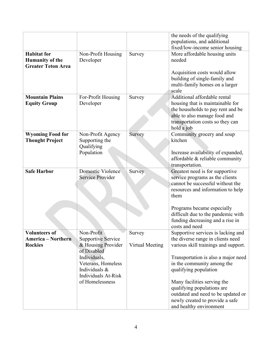| populations, and additional<br>fixed/low-income senior housing<br><b>Habitat for</b><br>Non-Profit Housing<br>More affordable housing units<br>Survey<br><b>Humanity of the</b><br>Developer<br>needed<br><b>Greater Teton Area</b><br>Acquisition costs would allow<br>building of single-family and<br>multi-family homes on a larger<br>scale<br>Additional affordable rental<br><b>Mountain Plains</b><br>For-Profit Housing<br>Survey<br>housing that is maintainable for<br>Developer<br><b>Equity Group</b><br>the households to pay rent and be<br>able to also manage food and<br>transportation costs so they can<br>hold a job<br><b>Wyoming Food for</b><br>Community grocery and soup<br>Non-Profit Agency<br>Survey<br>kitchen<br><b>Thought Project</b><br>Supporting the<br>Qualifying<br>Population<br>Increase availability of expanded,<br>affordable & reliable community<br>transportation.<br><b>Safe Harbor</b><br>Domestic Violence<br>Greatest need is for supportive<br>Survey<br>service programs as the clients<br>Service Provider<br>cannot be successful without the<br>resources and information to help<br>them<br>Programs became especially<br>difficult due to the pandemic with<br>funding decreasing and a rise in<br>costs and need |
|----------------------------------------------------------------------------------------------------------------------------------------------------------------------------------------------------------------------------------------------------------------------------------------------------------------------------------------------------------------------------------------------------------------------------------------------------------------------------------------------------------------------------------------------------------------------------------------------------------------------------------------------------------------------------------------------------------------------------------------------------------------------------------------------------------------------------------------------------------------------------------------------------------------------------------------------------------------------------------------------------------------------------------------------------------------------------------------------------------------------------------------------------------------------------------------------------------------------------------------------------------------------------|
|                                                                                                                                                                                                                                                                                                                                                                                                                                                                                                                                                                                                                                                                                                                                                                                                                                                                                                                                                                                                                                                                                                                                                                                                                                                                            |
|                                                                                                                                                                                                                                                                                                                                                                                                                                                                                                                                                                                                                                                                                                                                                                                                                                                                                                                                                                                                                                                                                                                                                                                                                                                                            |
|                                                                                                                                                                                                                                                                                                                                                                                                                                                                                                                                                                                                                                                                                                                                                                                                                                                                                                                                                                                                                                                                                                                                                                                                                                                                            |
|                                                                                                                                                                                                                                                                                                                                                                                                                                                                                                                                                                                                                                                                                                                                                                                                                                                                                                                                                                                                                                                                                                                                                                                                                                                                            |
|                                                                                                                                                                                                                                                                                                                                                                                                                                                                                                                                                                                                                                                                                                                                                                                                                                                                                                                                                                                                                                                                                                                                                                                                                                                                            |
|                                                                                                                                                                                                                                                                                                                                                                                                                                                                                                                                                                                                                                                                                                                                                                                                                                                                                                                                                                                                                                                                                                                                                                                                                                                                            |
|                                                                                                                                                                                                                                                                                                                                                                                                                                                                                                                                                                                                                                                                                                                                                                                                                                                                                                                                                                                                                                                                                                                                                                                                                                                                            |
|                                                                                                                                                                                                                                                                                                                                                                                                                                                                                                                                                                                                                                                                                                                                                                                                                                                                                                                                                                                                                                                                                                                                                                                                                                                                            |
|                                                                                                                                                                                                                                                                                                                                                                                                                                                                                                                                                                                                                                                                                                                                                                                                                                                                                                                                                                                                                                                                                                                                                                                                                                                                            |
|                                                                                                                                                                                                                                                                                                                                                                                                                                                                                                                                                                                                                                                                                                                                                                                                                                                                                                                                                                                                                                                                                                                                                                                                                                                                            |
| <b>Volunteers of</b><br>Non-Profit<br>Supportive services is lacking and<br>Survey                                                                                                                                                                                                                                                                                                                                                                                                                                                                                                                                                                                                                                                                                                                                                                                                                                                                                                                                                                                                                                                                                                                                                                                         |
| <b>America – Northern</b><br>Supportive Service<br>the diverse range in clients need                                                                                                                                                                                                                                                                                                                                                                                                                                                                                                                                                                                                                                                                                                                                                                                                                                                                                                                                                                                                                                                                                                                                                                                       |
| <b>Rockies</b><br>& Housing Provider<br>various skill trainings and support.<br>Virtual Meeting<br>of Disabled                                                                                                                                                                                                                                                                                                                                                                                                                                                                                                                                                                                                                                                                                                                                                                                                                                                                                                                                                                                                                                                                                                                                                             |
| Individuals,<br>Transportation is also a major need                                                                                                                                                                                                                                                                                                                                                                                                                                                                                                                                                                                                                                                                                                                                                                                                                                                                                                                                                                                                                                                                                                                                                                                                                        |
| Veterans, Homeless<br>in the community among the                                                                                                                                                                                                                                                                                                                                                                                                                                                                                                                                                                                                                                                                                                                                                                                                                                                                                                                                                                                                                                                                                                                                                                                                                           |
| Individuals &<br>qualifying population                                                                                                                                                                                                                                                                                                                                                                                                                                                                                                                                                                                                                                                                                                                                                                                                                                                                                                                                                                                                                                                                                                                                                                                                                                     |
| <b>Individuals At-Risk</b>                                                                                                                                                                                                                                                                                                                                                                                                                                                                                                                                                                                                                                                                                                                                                                                                                                                                                                                                                                                                                                                                                                                                                                                                                                                 |
| of Homelessness<br>Many facilities serving the                                                                                                                                                                                                                                                                                                                                                                                                                                                                                                                                                                                                                                                                                                                                                                                                                                                                                                                                                                                                                                                                                                                                                                                                                             |
| qualifying populations are                                                                                                                                                                                                                                                                                                                                                                                                                                                                                                                                                                                                                                                                                                                                                                                                                                                                                                                                                                                                                                                                                                                                                                                                                                                 |
| outdated and need to be updated or                                                                                                                                                                                                                                                                                                                                                                                                                                                                                                                                                                                                                                                                                                                                                                                                                                                                                                                                                                                                                                                                                                                                                                                                                                         |
| newly created to provide a safe<br>and healthy environment                                                                                                                                                                                                                                                                                                                                                                                                                                                                                                                                                                                                                                                                                                                                                                                                                                                                                                                                                                                                                                                                                                                                                                                                                 |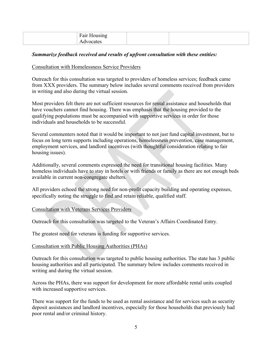| $ -$<br>_<br>سمط<br>- ган |  |
|---------------------------|--|
|                           |  |

#### *Summarize feedback received and results of upfront consultation with these entities:*

#### Consultation with Homelessness Service Providers

Outreach for this consultation was targeted to providers of homeless services; feedback came from XXX providers. The summary below includes several comments received from providers in writing and also during the virtual session.

Most providers felt there are not sufficient resources for rental assistance and households that have vouchers cannot find housing. There was emphasis that the housing provided to the qualifying populations must be accompanied with supportive services in order for those individuals and households to be successful.

Several commenters noted that it would be important to not just fund capital investment, but to focus on long term supports including operations, homelessness prevention, case management, employment services, and landlord incentives (with thoughtful consideration relating to fair housing issues).

Additionally, several comments expressed the need for transitional housing facilities. Many homeless individuals have to stay in hotels or with friends or family as there are not enough beds available in current non-congregate shelters.

All providers echoed the strong need for non-profit capacity building and operating expenses, specifically noting the struggle to find and retain reliable, qualified staff.

#### Consultation with Veterans Services Providers

Outreach for this consultation was targeted to the Veteran's Affairs Coordinated Entry.

The greatest need for veterans is funding for supportive services.

#### Consultation with Public Housing Authorities (PHAs)

Outreach for this consultation was targeted to public housing authorities. The state has 3 public housing authorities and all participated. The summary below includes comments received in writing and during the virtual session.

Across the PHAs, there was support for development for more affordable rental units coupled with increased supportive services.

There was support for the funds to be used as rental assistance and for services such as security deposit assistances and landlord incentives, especially for those households that previously had poor rental and/or criminal history.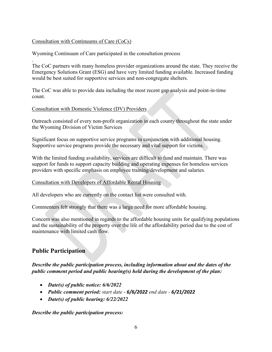#### Consultation with Continuums of Care (CoCs)

Wyoming Continuum of Care participated in the consultation process

. The CoC partners with many homeless provider organizations around the state. They receive the Emergency Solutions Grant (ESG) and have very limited funding available. Increased funding would be best suited for supportive services and non-congregate shelters.

The CoC was able to provide data including the most recent gap analysis and point-in-time count.

#### Consultation with Domestic Violence (DV) Providers

Outreach consisted of every non-profit organization in each county throughout the state under the Wyoming Division of Victim Services

Significant focus on supportive service programs in conjunction with additional housing. Supportive service programs provide the necessary and vital support for victims.

With the limited funding availability, services are difficult to fund and maintain. There was support for funds to support capacity building and operating expenses for homeless services providers with specific emphasis on employee training/development and salaries.

#### Consultation with Developers of Affordable Rental Housing

All developers who are currently on the contact list were consulted with.

Commenters felt strongly that there was a large need for more affordable housing.

Concern was also mentioned in regards to the affordable housing units for qualifying populations and the sustainability of the property over the life of the affordability period due to the cost of maintenance with limited cash flow.

# **Public Participation**

*Describe the public participation process, including information about and the dates of the public comment period and public hearing(s) held during the development of the plan:*

- *Date(s) of public notice: 6/6/2022*
- *Public comment period: start date - 6/6/2022 end date - 6/21/2022*
- *Date(s) of public hearing: 6/22/2022*

*Describe the public participation process:*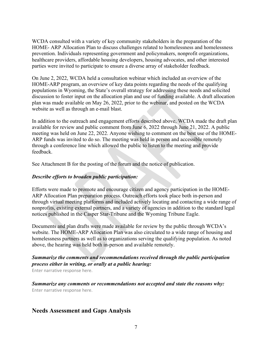WCDA consulted with a variety of key community stakeholders in the preparation of the HOME- ARP Allocation Plan to discuss challenges related to homelessness and homelessness prevention. Individuals representing government and policymakers, nonprofit organizations, healthcare providers, affordable housing developers, housing advocates, and other interested parties were invited to participate to ensure a diverse array of stakeholder feedback.

On June 2, 2022, WCDA held a consultation webinar which included an overview of the HOME-ARP program, an overview of key data points regarding the needs of the qualifying populations in Wyoming, the State's overall strategy for addressing these needs and solicited discussion to foster input on the allocation plan and use of funding available. A draft allocation plan was made available on May 26, 2022, prior to the webinar, and posted on the WCDA website as well as through an e-mail blast.

In addition to the outreach and engagement efforts described above, WCDA made the draft plan available for review and public comment from June 6, 2022 through June 21, 2022. A public meeting was held on June 22, 2022. Anyone wishing to comment on the best use of the HOME-ARP funds was invited to do so. The meeting was held in person and accessible remotely through a conference line which allowed the public to listen to the meeting and provide feedback.

See Attachment B for the posting of the forum and the notice of publication.

#### *Describe efforts to broaden public participation:*

Efforts were made to promote and encourage citizen and agency participation in the HOME-ARP Allocation Plan preparation process. Outreach efforts took place both in-person and through virtual meeting platforms and included actively locating and contacting a wide range of nonprofits, existing external partners, and a variety of agencies in addition to the standard legal notices published in the Casper Star-Tribune and the Wyoming Tribune Eagle.

Documents and plan drafts were made available for review by the public through WCDA's website. The HOME-ARP Allocation Plan was also circulated to a wide range of housing and homelessness partners as well as to organizations serving the qualifying population. As noted above, the hearing was held both in-person and available remotely.

#### *Summarize the comments and recommendations received through the public participation process either in writing, or orally at a public hearing:*

Enter narrative response here.

*Summarize any comments or recommendations not accepted and state the reasons why:* Enter narrative response here.

#### **Needs Assessment and Gaps Analysis**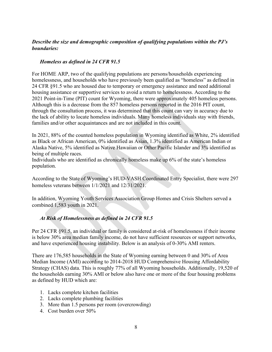#### *Describe the size and demographic composition of qualifying populations within the PJ's boundaries:*

#### *Homeless as defined in 24 CFR 91.5*

For HOME ARP, two of the qualifying populations are persons/households experiencing homelessness, and households who have previously been qualified as "homeless" as defined in 24 CFR §91.5 who are housed due to temporary or emergency assistance and need additional housing assistance or supportive services to avoid a return to homelessness. According to the 2021 Point-in-Time (PIT) count for Wyoming, there were approximately 405 homeless persons. Although this is a decrease from the 857 homeless persons reported in the 2016 PIT count, through the consultation process, it was determined that this count can vary in accuracy due to the lack of ability to locate homeless individuals. Many homeless individuals stay with friends, families and/or other acquaintances and are not included in this count.

In 2021, 88% of the counted homeless population in Wyoming identified as White, 2% identified as Black or African American, 0% identified as Asian, 1.3% identified as American Indian or Alaska Native, 5% identified as Native Hawaiian or Other Pacific Islander and 3% identified as being of multiple races.

Individuals who are identified as chronically homeless make up 6% of the state's homeless population.

According to the State of Wyoming's HUD-VASH Coordinated Entry Specialist, there were 297 homeless veterans between 1/1/2021 and 12/31/2021.

In addition, Wyoming Youth Services Association Group Homes and Crisis Shelters served a combined 1,583 youth in 2021.

### *At Risk of Homelessness as defined in 24 CFR 91.5*

Per 24 CFR §91.5, an individual or family is considered at-risk of homelessness if their income is below 30% area median family income, do not have sufficient resources or support networks, and have experienced housing instability. Below is an analysis of 0-30% AMI renters.

There are 176,585 households in the State of Wyoming earning between 0 and 30% of Area Median Income (AMI) according to 2014-2018 HUD Comprehensive Housing Affordability Strategy (CHAS) data. This is roughly 77% of all Wyoming households. Additionally, 19,520 of the households earning 30% AMI or below also have one or more of the four housing problems as defined by HUD which are:

- 1. Lacks complete kitchen facilities
- 2. Lacks complete plumbing facilities
- 3. More than 1.5 persons per room (overcrowding)
- 4. Cost burden over 50%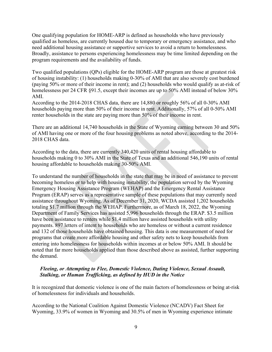One qualifying population for HOME-ARP is defined as households who have previously qualified as homeless, are currently housed due to temporary or emergency assistance, and who need additional housing assistance or supportive services to avoid a return to homelessness. Broadly, assistance to persons experiencing homelessness may be time limited depending on the program requirements and the availability of funds.

Two qualified populations (QPs) eligible for the HOME-ARP program are those at greatest risk of housing instability: (1) households making 0-30% of AMI that are also severely cost burdened (paying 50% or more of their income in rent); and (2) households who would qualify as at-risk of homelessness per 24 CFR §91.5, except their incomes are up to 50% AMI instead of below 30% AMI.

According to the 2014-2018 CHAS data, there are 14,880 or roughly 56% of all 0-30% AMI households paying more than 50% of their income in rent. Additionally, 57% of all 0-50% AMI renter households in the state are paying more than 50% of their income in rent.

There are an additional 14,740 households in the State of Wyoming earning between 30 and 50% of AMI having one or more of the four housing problems as noted above, according to the 2014- 2018 CHAS data.

According to the data, there are currently 340,420 units of rental housing affordable to households making 0 to 30% AMI in the State of Texas and an additional 546,190 units of rental housing affordable to households making 30-50% AMI.

To understand the number of households in the state that may be in need of assistance to prevent becoming homeless or to help with housing instability, the population served by the Wyoming Emergency Housing Assistance Program (WEHAP) and the Emergency Rental Assistance Program (ERAP) serves as a representative sample of these populations that may currently need assistance throughout Wyoming. As of December 31, 2020, WCDA assisted 1,202 households totaling \$1.7 million through the WEHAP. Furthermore, as of March 18, 2022, the Wyoming Department of Family Services has assisted 5,996 households through the ERAP. \$3.5 million have been assistance to renters while \$1.4 million have assisted households with utility payments. 897 letters of intent to households who are homeless or without a current residence and 132 of those households have obtained housing. This data is one measurement of need for programs that create more affordable housing and other safety nets to keep households from entering into homelessness for households within incomes at or below 50% AMI. It should be noted that far more households applied than those described above as assisted, further supporting the demand.

#### *Fleeing, or Attempting to Flee, Domestic Violence, Dating Violence, Sexual Assault, Stalking, or Human Trafficking, as defined by HUD in the Notice*

It is recognized that domestic violence is one of the main factors of homelessness or being at-risk of homelessness for individuals and households.

According to the National Coalition Against Domestic Violence (NCADV) Fact Sheet for Wyoming, 33.9% of women in Wyoming and 30.5% of men in Wyoming experience intimate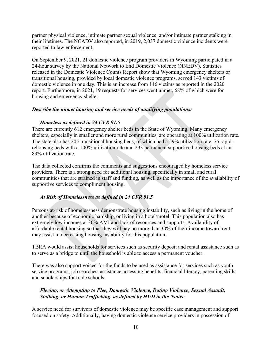partner physical violence, intimate partner sexual violence, and/or intimate partner stalking in their lifetimes. The NCADV also reported, in 2019, 2,037 domestic violence incidents were reported to law enforcement.

On September 9, 2021, 21 domestic violence program providers in Wyoming participated in a 24-hour survey by the National Network to End Domestic Violence (NNEDV). Statistics released in the Domestic Violence Counts Report show that Wyoming emergency shelters or transitional housing, provided by local domestic violence programs, served 143 victims of domestic violence in one day. This is an increase from 116 victims as reported in the 2020 report. Furthermore, in 2021, 19 requests for services went unmet, 68% of which were for housing and emergency shelter.

#### *Describe the unmet housing and service needs of qualifying populations:*

#### *Homeless as defined in 24 CFR 91.5*

There are currently 612 emergency shelter beds in the State of Wyoming. Many emergency shelters, especially in smaller and more rural communities, are operating at 100% utilization rate. The state also has 205 transitional housing beds, of which had a 59% utilization rate, 75 rapidrehousing beds with a 100% utilization rate and 233 permanent supportive housing beds at an 89% utilization rate.

The data collected confirms the comments and suggestions encouraged by homeless service providers. There is a strong need for additional housing, specifically in small and rural communities that are strained in staff and funding, as well as the importance of the availability of supportive services to compliment housing.

#### *At Risk of Homelessness as defined in 24 CFR 91.5*

Persons at-risk of homelessness demonstrate housing instability, such as living in the home of another because of economic hardship, or living in a hotel/motel. This population also has extremely low incomes at 30% AMI and lack of resources and supports. Availability of affordable rental housing so that they will pay no more than 30% of their income toward rent may assist in decreasing housing instability for this population.

TBRA would assist households for services such as security deposit and rental assistance such as to serve as a bridge to until the household is able to access a permanent voucher.

There was also support voiced for the funds to be used as assistance for services such as youth service programs, job searches, assistance accessing benefits, financial literacy, parenting skills and scholarships for trade schools.

#### *Fleeing, or Attempting to Flee, Domestic Violence, Dating Violence, Sexual Assault, Stalking, or Human Trafficking, as defined by HUD in the Notice*

A service need for survivors of domestic violence may be specific case management and support focused on safety. Additionally, having domestic violence service providers in possession of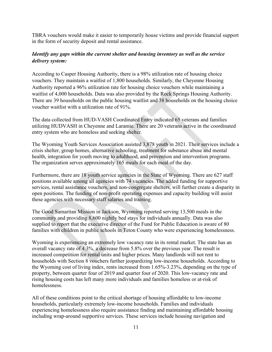TBRA vouchers would make it easier to temporarily house victims and provide financial support in the form of security deposit and rental assistance.

#### *Identify any gaps within the current shelter and housing inventory as well as the service delivery system:*

According to Casper Housing Authority, there is a 98% utilization rate of housing choice vouchers. They maintain a waitlist of 1,800 households. Similarly, the Cheyenne Housing Authority reported a 96% utilization rate for housing choice vouchers while maintaining a waitlist of 4,000 households. Data was also provided by the Rock Springs Housing Authority. There are 39 households on the public housing waitlist and 38 households on the housing choice voucher waitlist with a utilization rate of 91%.

The data collected from HUD-VASH Coordinated Entry indicated 65 veterans and families utilizing HUDVASH in Cheyenne and Laramie. There are 20 veterans active in the coordinated entry system who are homeless and seeking shelter.

The Wyoming Youth Services Association assisted 3,878 youth in 2021. Their services include a crisis shelter, group homes, alternative schooling, treatment for substance abuse and mental health, integration for youth moving to adulthood, and prevention and intervention programs. The organization serves approximately 165 meals for each meal of the day.

Furthermore, there are 18 youth service agencies in the State of Wyoming. There are 627 staff positions available among all agencies with 74 vacancies. The added funding for supportive services, rental assistance vouchers, and non-congregate shelters, will further create a disparity in open positions. The funding of non-profit operating expenses and capacity building will assist these agencies with necessary staff salaries and training.

The Good Samaritan Mission in Jackson, Wyoming reported serving 13,500 meals in the community and providing 8,600 nightly bed stays for individuals annually. Data was also supplied to report that the executive director of the Fund for Public Education is aware of 80 families with children in public schools in Teton County who were experiencing homelessness.

Wyoming is experiencing an extremely low vacancy rate in its rental market. The state has an overall vacancy rate of 4.3%, a decrease from 5.8% over the previous year. The result is increased competition for rental units and higher prices. Many landlords will not rent to households with Section 8 vouchers further jeopardizing low-income households. According to the Wyoming cost of living index, rents increased from 1.65%-3.23%, depending on the type of property, between quarter four of 2019 and quarter four of 2020. This low-vacancy rate and rising housing costs has left many more individuals and families homeless or at-risk of homelessness.

All of these conditions point to the critical shortage of housing affordable to low-income households, particularly extremely low-income households. Families and individuals experiencing homelessness also require assistance finding and maintaining affordable housing including wrap-around supportive services. These services include housing navigation and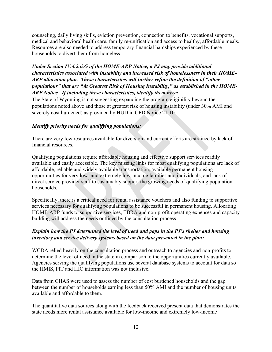counseling, daily living skills, eviction prevention, connection to benefits, vocational supports, medical and behavioral health care, family re-unification and access to healthy, affordable meals. Resources are also needed to address temporary financial hardships experienced by these households to divert them from homeless.

#### *Under Section IV.4.2.ii.G of the HOME-ARP Notice, a PJ may provide additional characteristics associated with instability and increased risk of homelessness in their HOME-ARP allocation plan. These characteristics will further refine the definition of "other populations" that are "At Greatest Risk of Housing Instability," as established in the HOME-ARP Notice. If including these characteristics, identify them here:*

The State of Wyoming is not suggesting expanding the program eligibility beyond the populations noted above and those at greatest risk of housing instability (under 30% AMI and severely cost burdened) as provided by HUD in CPD Notice 21-10.

#### *Identify priority needs for qualifying populations:*

There are very few resources available for diversion and current efforts are strained by lack of financial resources.

Qualifying populations require affordable housing and effective support services readily available and easily accessible. The key missing links for most qualifying populations are lack of affordable, reliable and widely available transportation, available permanent housing opportunities for very low- and extremely low-income families and individuals, and lack of direct service provider staff to sustainably support the growing needs of qualifying population households.

Specifically, there is a critical need for rental assistance vouchers and also funding to supportive services necessary for qualifying populations to be successful in permanent housing. Allocating HOME-ARP funds to supportive services, TBRA and non-profit operating expenses and capacity building will address the needs outlined by the consultation process.

#### *Explain how the PJ determined the level of need and gaps in the PJ's shelter and housing inventory and service delivery systems based on the data presented in the plan:*

WCDA relied heavily on the consultation process and outreach to agencies and non-profits to determine the level of need in the state in comparison to the opportunities currently available. Agencies serving the qualifying populations use several database systems to account for data so the HMIS, PIT and HIC information was not inclusive.

Data from CHAS were used to assess the number of cost burdened households and the gap between the number of households earning less than 50% AMI and the number of housing units available and affordable to them.

The quantitative data sources along with the feedback received present data that demonstrates the state needs more rental assistance available for low-income and extremely low-income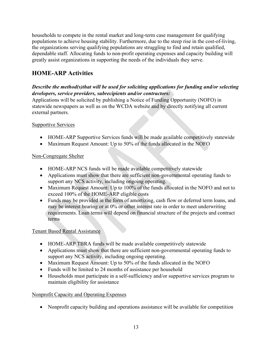households to compete in the rental market and long-term case management for qualifying populations to achieve housing stability. Furthermore, due to the steep rise in the cost-of-living, the organizations serving qualifying populations are struggling to find and retain qualified, dependable staff. Allocating funds to non-profit operating expenses and capacity building will greatly assist organizations in supporting the needs of the individuals they serve.

# **HOME-ARP Activities**

#### *Describe the method(s)that will be used for soliciting applications for funding and/or selecting developers, service providers, subrecipients and/or contractors:*

Applications will be solicited by publishing a Notice of Funding Opportunity (NOFO) in statewide newspapers as well as on the WCDA website and by directly notifying all current external partners.

#### Supportive Services

- HOME-ARP Supportive Services funds will be made available competitively statewide
- Maximum Request Amount: Up to 50% of the funds allocated in the NOFO

#### Non-Congregate Shelter

- HOME-ARP NCS funds will be made available competitively statewide
- Applications must show that there are sufficient non-governmental operating funds to support any NCS activity, including ongoing operating.
- Maximum Request Amount: Up to 100% of the funds allocated in the NOFO and not to exceed 100% of the HOME-ARP eligible costs
- Funds may be provided in the form of amortizing, cash flow or deferred term loans, and may be interest bearing or at 0% or other interest rate in order to meet underwriting requirements. Loan terms will depend on financial structure of the projects and contract terms

#### Tenant Based Rental Assistance

- HOME-ARP TBRA funds will be made available competitively statewide
- Applications must show that there are sufficient non-governmental operating funds to support any NCS activity, including ongoing operating.
- Maximum Request Amount: Up to 50% of the funds allocated in the NOFO
- Funds will be limited to 24 months of assistance per household
- Households must participate in a self-sufficiency and/or supportive services program to maintain eligibility for assistance

#### Nonprofit Capacity and Operating Expenses

• Nonprofit capacity building and operations assistance will be available for competition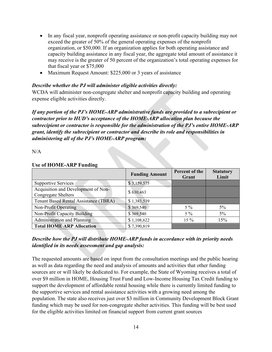- In any fiscal year, nonprofit operating assistance or non-profit capacity building may not exceed the greater of 50% of the general operating expenses of the nonprofit organization, or \$50,000. If an organization applies for both operating assistance and capacity building assistance in any fiscal year, the aggregate total amount of assistance it may receive is the greater of 50 percent of the organization's total operating expenses for that fiscal year or \$75,000
- Maximum Request Amount: \$225,000 or 3 years of assistance

#### *Describe whether the PJ will administer eligible activities directly:*

WCDA will administer non-congregate shelter and nonprofit capacity building and operating expense eligible activities directly.

*If any portion of the PJ's HOME-ARP administrative funds are provided to a subrecipient or contractor prior to HUD's acceptance of the HOME-ARP allocation plan because the subrecipient or contractor is responsible for the administration of the PJ's entire HOME-ARP grant, identify the subrecipient or contractor and describe its role and responsibilities in administering all of the PJ's HOME-ARP program:*

#### $N/A$

#### **Use of HOME-ARP Funding**

|                                                                   | <b>Funding Amount</b> | Percent of the<br>Grant | <b>Statutory</b><br>Limit |
|-------------------------------------------------------------------|-----------------------|-------------------------|---------------------------|
| Supportive Services                                               | \$3,159,575           |                         |                           |
| Acquisition and Development of Non-<br><b>Congregate Shelters</b> | \$630,463             |                         |                           |
| <b>Tenant Based Rental Assistance (TBRA)</b>                      | \$1,383,539           |                         |                           |
| Non-Profit Operating                                              | \$369,540             | $5\%$                   | $5\%$                     |
| Non-Profit Capacity Building                                      | \$369,540             | $5\%$                   | 5%                        |
| <b>Administration and Planning</b>                                | \$1,108,622           | $15\%$                  | 15%                       |
| <b>Total HOME ARP Allocation</b>                                  | \$7,390,819           |                         |                           |

#### *Describe how the PJ will distribute HOME-ARP funds in accordance with its priority needs identified in its needs assessment and gap analysis:*

The requested amounts are based on input from the consultation meetings and the public hearing as well as data regarding the need and analysis of amounts and activities that other funding sources are or will likely be dedicated to. For example, the State of Wyoming receives a total of over \$9 million in HOME, Housing Trust Fund and Low-Income Housing Tax Credit funding to support the development of affordable rental housing while there is currently limited funding to the supportive services and rental assistance activities with a growing need among the population. The state also receives just over \$3 million in Community Development Block Grant funding which may be used for non-congregate shelter activities. This funding will be best used for the eligible activities limited on financial support from current grant sources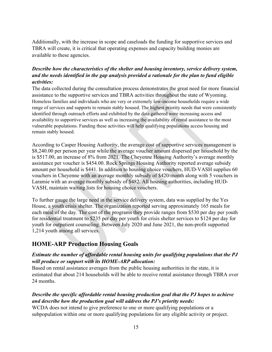Additionally, with the increase in scope and caseloads the funding for supportive services and TBRA will create, it is critical that operating expenses and capacity building monies are available to these agencies.

#### *Describe how the characteristics of the shelter and housing inventory, service delivery system, and the needs identified in the gap analysis provided a rationale for the plan to fund eligible activities:*

The data collected during the consultation process demonstrates the great need for more financial assistance to the supportive services and TBRA activities throughout the state of Wyoming. Homeless families and individuals who are very or extremely low-income households require a wide range of services and supports to remain stably housed. The highest priority needs that were consistently identified through outreach efforts and exhibited by the data gathered were increasing access and availability to supportive services as well as increasing the availability of rental assistance to the most vulnerable populations. Funding these activities will help qualifying populations access housing and remain stably housed.

According to Casper Housing Authority, the average cost of supportive services management is \$8,240.00 per person per year while the average voucher amount dispersed per household by the is \$517.00, an increase of 8% from 2021. The Cheyenne Housing Authority's average monthly assistance per voucher is \$454.00. Rock Springs Housing Authority reported average subsidy amount per household is \$441. In addition to housing choice vouchers, HUD-VASH supplies 60 vouchers in Cheyenne with an average monthly subsidy of \$420/month along with 5 vouchers in Laramie with an average monthly subsidy of \$482. All housing authorities, including HUD-VASH, maintain waiting lists for housing choice vouchers.

To further gauge the large need in the service delivery system, data was supplied by the Yes House, a youth crisis shelter. The organization reported serving approximately 165 meals for each meal of the day. The cost of the programs they provide ranges from \$530 per day per youth for residential treatment to \$235 per day per youth for crisis shelter services to \$124 per day for youth for outpatient counseling. Between July 2020 and June 2021, the non-profit supported 1,214 youth among all services.

# **HOME-ARP Production Housing Goals**

#### *Estimate the number of affordable rental housing units for qualifying populations that the PJ will produce or support with its HOME-ARP allocation:*

Based on rental assistance averages from the public housing authorities in the state, it is estimated that about 214 households will be able to receive rental assistance through TBRA over 24 months.

#### *Describe the specific affordable rental housing production goal that the PJ hopes to achieve and describe how the production goal will address the PJ's priority needs:*

WCDA does not intend to give preference to one or more qualifying populations or a subpopulation within one or more qualifying populations for any eligible activity or project.